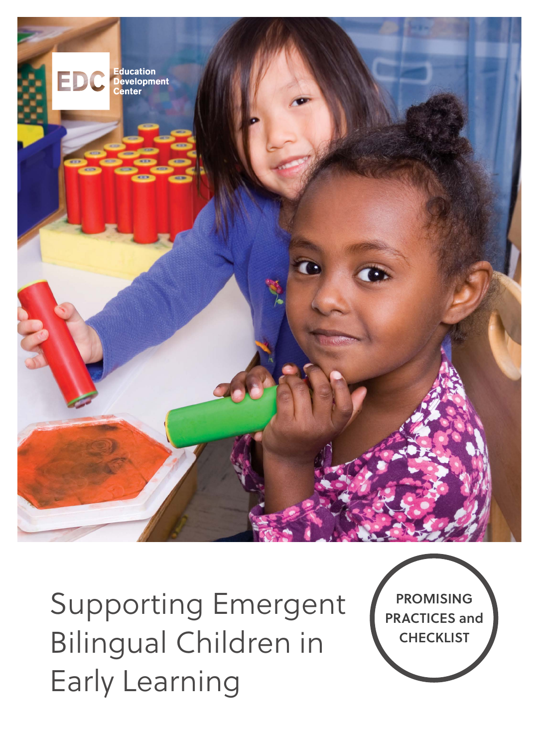

Supporting Emergent Bilingual Children in Early Learning

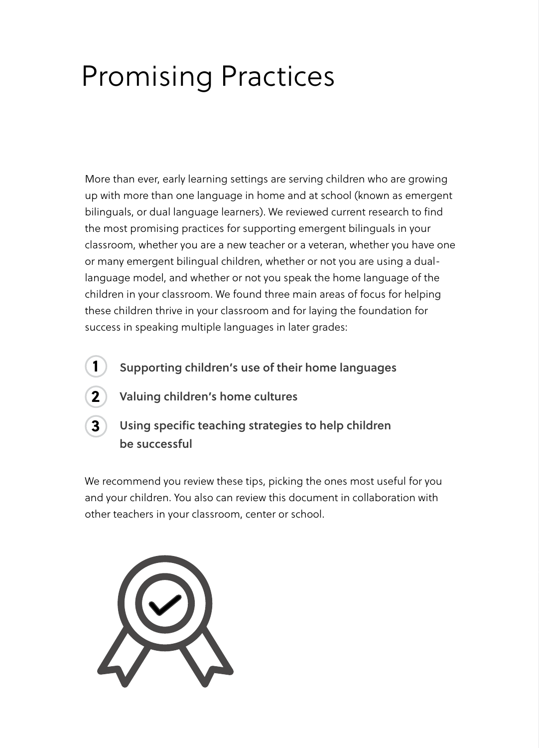# Promising Practices

More than ever, early learning settings are serving children who are growing up with more than one language in home and at school (known as emergent bilinguals, or dual language learners). We reviewed current research to find the most promising practices for supporting emergent bilinguals in your classroom, whether you are a new teacher or a veteran, whether you have one or many emergent bilingual children, whether or not you are using a duallanguage model, and whether or not you speak the home language of the children in your classroom. We found three main areas of focus for helping these children thrive in your classroom and for laying the foundation for success in speaking multiple languages in later grades:

- **Supporting children's use of their home languages 1**
	- **Valuing children's home cultures**
- **3**

**2**

#### **Using specific teaching strategies to help children be successful**

We recommend you review these tips, picking the ones most useful for you and your children. You also can review this document in collaboration with other teachers in your classroom, center or school.

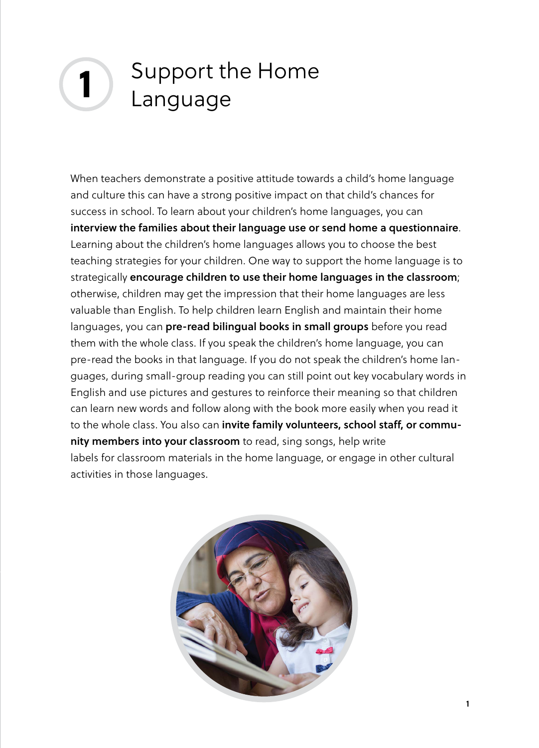#### **1** Support the Home Language

When teachers demonstrate a positive attitude towards a child's home language and culture this can have a strong positive impact on that child's chances for success in school. To learn about your children's home languages, you can **interview the families about their language use or send home a questionnaire**. Learning about the children's home languages allows you to choose the best teaching strategies for your children. One way to support the home language is to strategically **encourage children to use their home languages in the classroom**; otherwise, children may get the impression that their home languages are less valuable than English. To help children learn English and maintain their home languages, you can **pre-read bilingual books in small groups** before you read them with the whole class. If you speak the children's home language, you can pre-read the books in that language. If you do not speak the children's home languages, during small-group reading you can still point out key vocabulary words in English and use pictures and gestures to reinforce their meaning so that children can learn new words and follow along with the book more easily when you read it to the whole class. You also can **invite family volunteers, school staff, or community members into your classroom** to read, sing songs, help write labels for classroom materials in the home language, or engage in other cultural activities in those languages.

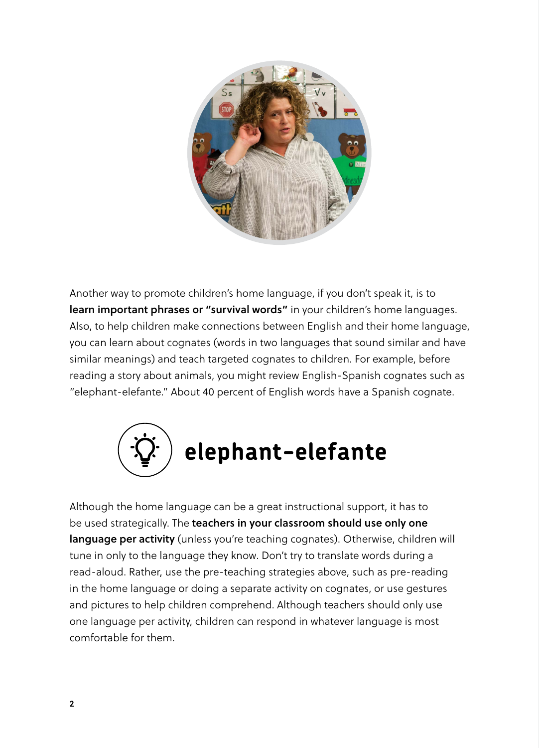

Another way to promote children's home language, if you don't speak it, is to **learn important phrases or "survival words"** in your children's home languages. Also, to help children make connections between English and their home language, you can learn about cognates (words in two languages that sound similar and have similar meanings) and teach targeted cognates to children. For example, before reading a story about animals, you might review English-Spanish cognates such as "elephant-elefante." About 40 percent of English words have a Spanish cognate.



Although the home language can be a great instructional support, it has to be used strategically. The **teachers in your classroom should use only one language per activity** (unless you're teaching cognates). Otherwise, children will tune in only to the language they know. Don't try to translate words during a read-aloud. Rather, use the pre-teaching strategies above, such as pre-reading in the home language or doing a separate activity on cognates, or use gestures and pictures to help children comprehend. Although teachers should only use one language per activity, children can respond in whatever language is most comfortable for them.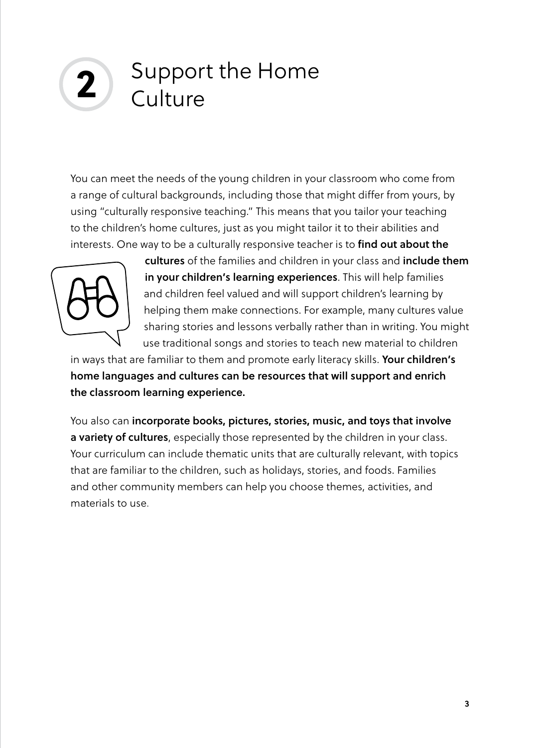## **2** Support the Home **Culture**

You can meet the needs of the young children in your classroom who come from a range of cultural backgrounds, including those that might differ from yours, by using "culturally responsive teaching." This means that you tailor your teaching to the children's home cultures, just as you might tailor it to their abilities and interests. One way to be a culturally responsive teacher is to **find out about the** 



**cultures** of the families and children in your class and **include them in your children's learning experiences**. This will help families and children feel valued and will support children's learning by helping them make connections. For example, many cultures value sharing stories and lessons verbally rather than in writing. You might use traditional songs and stories to teach new material to children

in ways that are familiar to them and promote early literacy skills. **Your children's home languages and cultures can be resources that will support and enrich the classroom learning experience.** 

You also can **incorporate books, pictures, stories, music, and toys that involve a variety of cultures**, especially those represented by the children in your class. Your curriculum can include thematic units that are culturally relevant, with topics that are familiar to the children, such as holidays, stories, and foods. Families and other community members can help you choose themes, activities, and materials to use.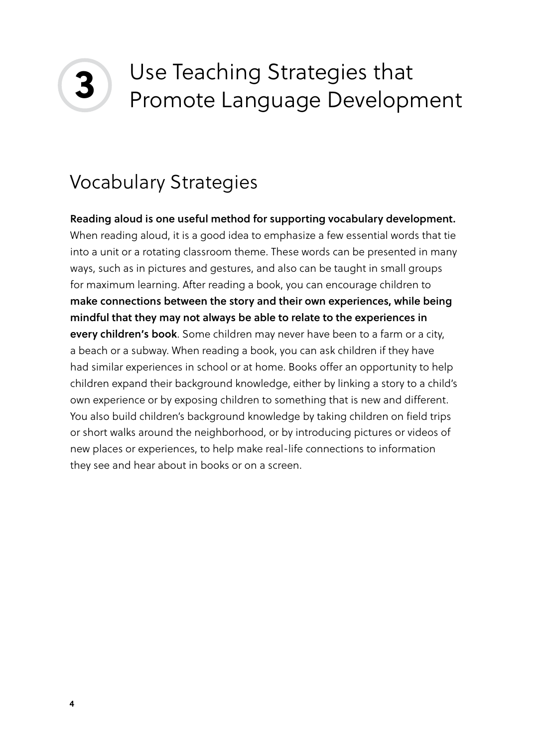

## Use Teaching Strategies that Promote Language Development

### Vocabulary Strategies

**Reading aloud is one useful method for supporting vocabulary development.** When reading aloud, it is a good idea to emphasize a few essential words that tie into a unit or a rotating classroom theme. These words can be presented in many ways, such as in pictures and gestures, and also can be taught in small groups for maximum learning. After reading a book, you can encourage children to **make connections between the story and their own experiences, while being mindful that they may not always be able to relate to the experiences in every children's book**. Some children may never have been to a farm or a city, a beach or a subway. When reading a book, you can ask children if they have had similar experiences in school or at home. Books offer an opportunity to help children expand their background knowledge, either by linking a story to a child's own experience or by exposing children to something that is new and different. You also build children's background knowledge by taking children on field trips or short walks around the neighborhood, or by introducing pictures or videos of new places or experiences, to help make real-life connections to information they see and hear about in books or on a screen.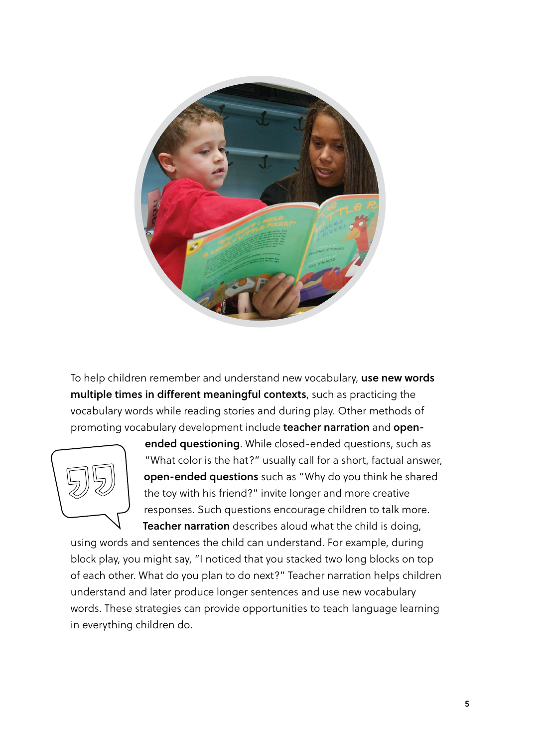

To help children remember and understand new vocabulary, **use new words multiple times in different meaningful contexts**, such as practicing the vocabulary words while reading stories and during play. Other methods of promoting vocabulary development include **teacher narration** and **open-**



**ended questioning**. While closed-ended questions, such as "What color is the hat?" usually call for a short, factual answer, **open-ended questions** such as "Why do you think he shared the toy with his friend?" invite longer and more creative responses. Such questions encourage children to talk more. **Teacher narration** describes aloud what the child is doing,

using words and sentences the child can understand. For example, during block play, you might say, "I noticed that you stacked two long blocks on top of each other. What do you plan to do next?" Teacher narration helps children understand and later produce longer sentences and use new vocabulary words. These strategies can provide opportunities to teach language learning in everything children do.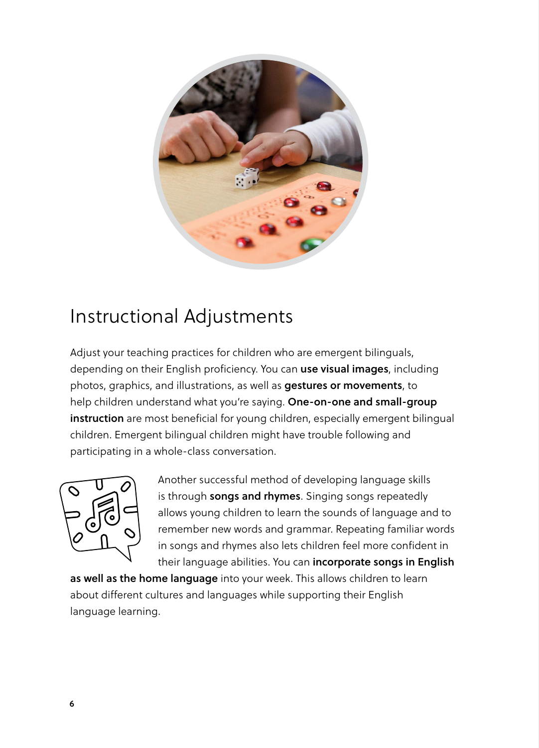

#### Instructional Adjustments

Adjust your teaching practices for children who are emergent bilinguals, depending on their English proficiency. You can **use visual images**, including photos, graphics, and illustrations, as well as **gestures or movements**, to help children understand what you're saying. **One-on-one and small-group instruction** are most beneficial for young children, especially emergent bilingual children. Emergent bilingual children might have trouble following and participating in a whole-class conversation.



Another successful method of developing language skills is through **songs and rhymes**. Singing songs repeatedly allows young children to learn the sounds of language and to remember new words and grammar. Repeating familiar words in songs and rhymes also lets children feel more confident in their language abilities. You can **incorporate songs in English** 

**as well as the home language** into your week. This allows children to learn about different cultures and languages while supporting their English language learning.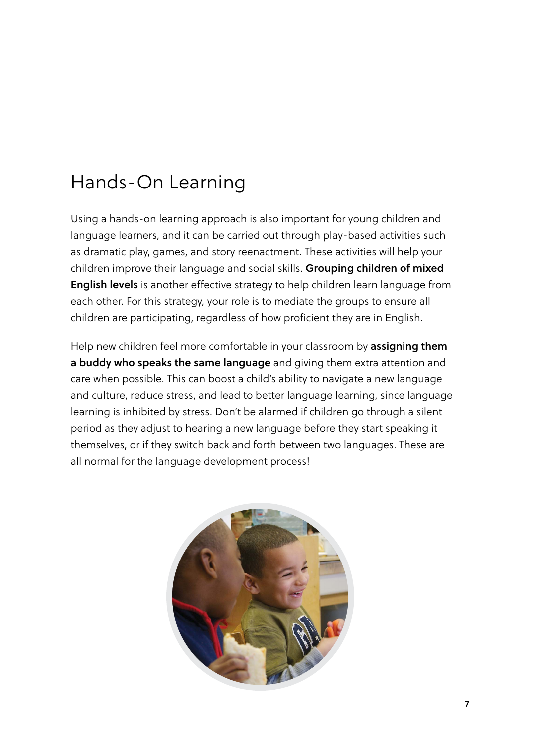### Hands-On Learning

Using a hands-on learning approach is also important for young children and language learners, and it can be carried out through play-based activities such as dramatic play, games, and story reenactment. These activities will help your children improve their language and social skills. **Grouping children of mixed English levels** is another effective strategy to help children learn language from each other. For this strategy, your role is to mediate the groups to ensure all children are participating, regardless of how proficient they are in English.

Help new children feel more comfortable in your classroom by **assigning them a buddy who speaks the same language** and giving them extra attention and care when possible. This can boost a child's ability to navigate a new language and culture, reduce stress, and lead to better language learning, since language learning is inhibited by stress. Don't be alarmed if children go through a silent period as they adjust to hearing a new language before they start speaking it themselves, or if they switch back and forth between two languages. These are all normal for the language development process!

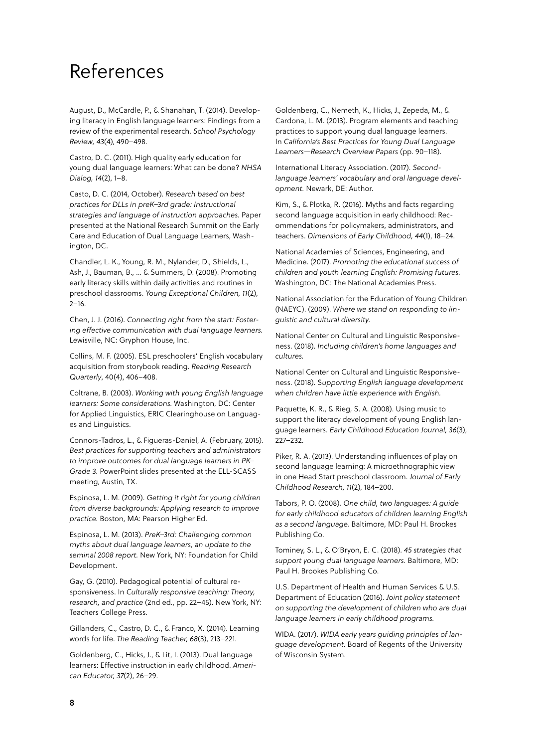#### References

August, D., McCardle, P., & Shanahan, T. (2014). Developing literacy in English language learners: Findings from a review of the experimental research. *School Psychology Review, 43*(4), 490–498.

Castro, D. C. (2011). High quality early education for young dual language learners: What can be done? *NHSA Dialog, 14*(2), 1–8.

Casto, D. C. (2014, October). *Research based on best practices for DLLs in preK–3rd grade: Instructional strategies and language of instruction approaches.* Paper presented at the National Research Summit on the Early Care and Education of Dual Language Learners, Washington, DC.

Chandler, L. K., Young, R. M., Nylander, D., Shields, L., Ash, J., Bauman, B., … & Summers, D. (2008). Promoting early literacy skills within daily activities and routines in preschool classrooms. *Young Exceptional Children, 11*(2),  $2 - 16$ .

Chen, J. J. (2016). *Connecting right from the start: Fostering effective communication with dual language learners.* Lewisville, NC: Gryphon House, Inc.

Collins, M. F. (2005). ESL preschoolers' English vocabulary acquisition from storybook reading. *Reading Research Quarterly*, 40(4), 406–408.

Coltrane, B. (2003). *Working with young English language learners: Some considerations.* Washington, DC: Center for Applied Linguistics, ERIC Clearinghouse on Languages and Linguistics.

Connors-Tadros, L., & Figueras-Daniel, A. (February, 2015). *Best practices for supporting teachers and administrators to improve outcomes for dual language learners in PK– Grade 3.* PowerPoint slides presented at the ELL-SCASS meeting, Austin, TX.

Espinosa, L. M. (2009). *Getting it right for young children from diverse backgrounds: Applying research to improve practice.* Boston, MA: Pearson Higher Ed.

Espinosa, L. M. (2013). *PreK–3rd: Challenging common myths about dual language learners, an update to the seminal 2008 report.* New York, NY: Foundation for Child Development.

Gay, G. (2010). Pedagogical potential of cultural responsiveness. In *Culturally responsive teaching: Theory, research, and practice* (2nd ed., pp. 22–45). New York, NY: Teachers College Press.

Gillanders, C., Castro, D. C., & Franco, X. (2014). Learning words for life. *The Reading Teacher, 68*(3), 213–221.

Goldenberg, C., Hicks, J., & Lit, I. (2013). Dual language learners: Effective instruction in early childhood. *American Educator, 37*(2), 26–29.

Goldenberg, C., Nemeth, K., Hicks, J., Zepeda, M., & Cardona, L. M. (2013). Program elements and teaching practices to support young dual language learners. In *California's Best Practices for Young Dual Language Learners—Research Overview Papers* (pp. 90–118).

International Literacy Association. (2017). *Secondlanguage learners' vocabulary and oral language development.* Newark, DE: Author.

Kim, S., & Plotka, R. (2016). Myths and facts regarding second language acquisition in early childhood: Recommendations for policymakers, administrators, and teachers. *Dimensions of Early Childhood, 44*(1), 18–24.

National Academies of Sciences, Engineering, and Medicine. (2017). *Promoting the educational success of children and youth learning English: Promising futures.*  Washington, DC: The National Academies Press.

National Association for the Education of Young Children (NAEYC). (2009). *Where we stand on responding to linguistic and cultural diversity.* 

National Center on Cultural and Linguistic Responsiveness. (2018). *Including children's home languages and cultures.* 

National Center on Cultural and Linguistic Responsiveness. (2018). S*upporting English language development when children have little experience with English.* 

Paquette, K. R., & Rieg, S. A. (2008). Using music to support the literacy development of young English language learners. *Early Childhood Education Journal, 36*(3), 227–232.

Piker, R. A. (2013). Understanding influences of play on second language learning: A microethnographic view in one Head Start preschool classroom. *Journal of Early Childhood Research, 11*(2), 184–200.

Tabors, P. O. (2008). *One child, two languages: A guide for early childhood educators of children learning English as a second language.* Baltimore, MD: Paul H. Brookes Publishing Co.

Tominey, S. L., & O'Bryon, E. C. (2018). *45 strategies that support young dual language learners.* Baltimore, MD: Paul H. Brookes Publishing Co.

U.S. Department of Health and Human Services & U.S. Department of Education (2016). *Joint policy statement on supporting the development of children who are dual language learners in early childhood programs.* 

WIDA. (2017). *WIDA early years guiding principles of language development.* Board of Regents of the University of Wisconsin System.